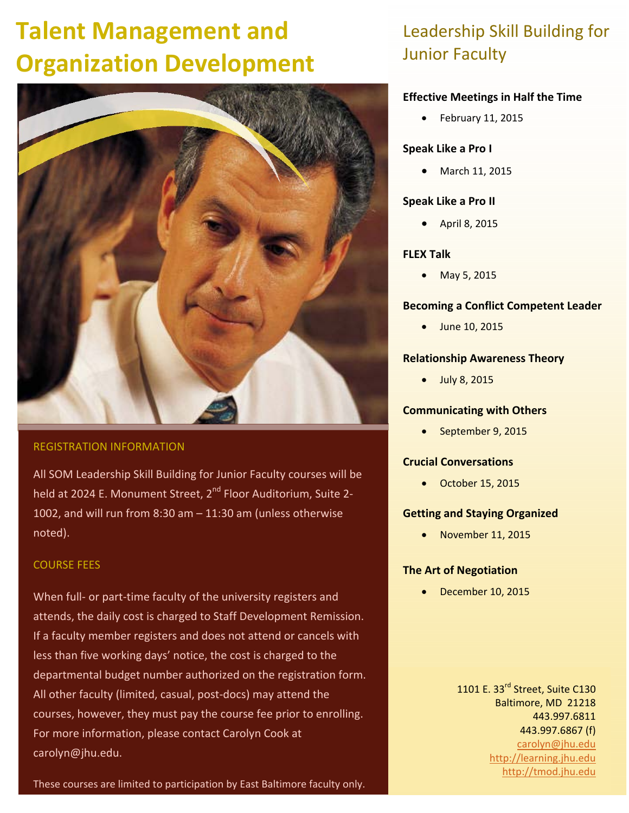# **Talent Management and Organization Development**



#### REGISTRATION INFORMATION

All SOM Leadership Skill Building for Junior Faculty courses will be held at 2024 E. Monument Street, 2<sup>nd</sup> Floor Auditorium, Suite 2-1002, and will run from 8:30 am – 11:30 am (unless otherwise noted).

#### COURSE FEES

When full- or part-time faculty of the university registers and attends, the daily cost is charged to Staff Development Remission. If a faculty member registers and does not attend or cancels with less than five working days' notice, the cost is charged to the departmental budget number authorized on the registration form. All other faculty (limited, casual, post‐docs) may attend the courses, however, they must pay the course fee prior to enrolling. For more information, please contact Carolyn Cook at carolyn@jhu.edu.

### These courses are limited to participation by East Baltimore faculty only.

### Leadership Skill Building for Junior Faculty

#### **Effective Meetings in Half the Time**

 $\bullet$  February 11, 2015

#### **Speak Like a Pro I**

March 11, 2015

#### **Speak Like a Pro II**

April 8, 2015

#### **FLEX Talk**

• May 5, 2015

#### **Becoming a Conflict Competent Leader**

June 10, 2015

#### **Relationship Awareness Theory**

• July 8, 2015

#### **Communicating with Others**

September 9, 2015

#### **Crucial Conversations**

October 15, 2015

#### **Getting and Staying Organized**

November 11, 2015

#### **The Art of Negotiation**

December 10, 2015

1101 E. 33<sup>rd</sup> Street, Suite C130 Baltimore, MD 21218 443.997.6811 443.997.6867 (f) carolyn@jhu.edu http://learning.jhu.edu http://tmod.jhu.edu